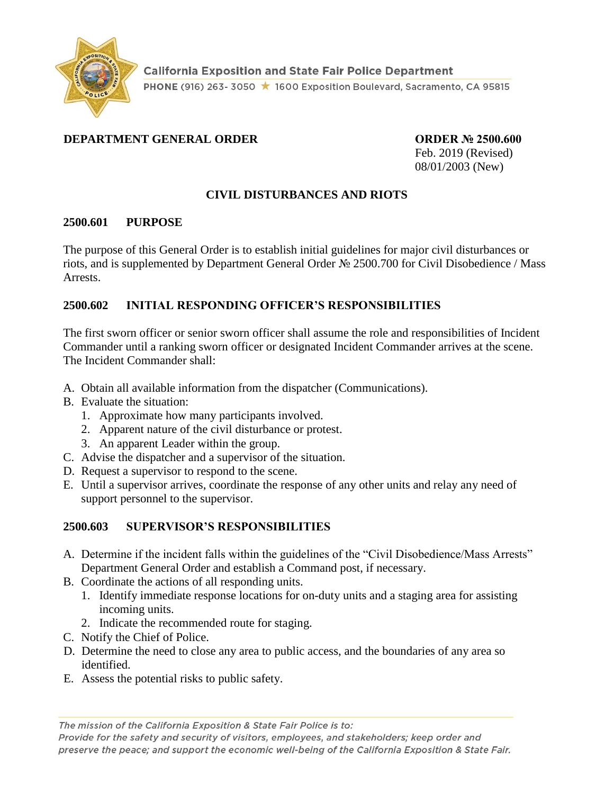

### **DEPARTMENT GENERAL ORDER ORDER № 2500.600**

Feb. 2019 (Revised) 08/01/2003 (New)

### **CIVIL DISTURBANCES AND RIOTS**

#### **2500.601 PURPOSE**

The purpose of this General Order is to establish initial guidelines for major civil disturbances or riots, and is supplemented by Department General Order № 2500.700 for Civil Disobedience / Mass Arrests.

#### **2500.602 INITIAL RESPONDING OFFICER'S RESPONSIBILITIES**

The first sworn officer or senior sworn officer shall assume the role and responsibilities of Incident Commander until a ranking sworn officer or designated Incident Commander arrives at the scene. The Incident Commander shall:

- A. Obtain all available information from the dispatcher (Communications).
- B. Evaluate the situation:
	- 1. Approximate how many participants involved.
	- 2. Apparent nature of the civil disturbance or protest.
	- 3. An apparent Leader within the group.
- C. Advise the dispatcher and a supervisor of the situation.
- D. Request a supervisor to respond to the scene.
- E. Until a supervisor arrives, coordinate the response of any other units and relay any need of support personnel to the supervisor.

#### **2500.603 SUPERVISOR'S RESPONSIBILITIES**

- A. Determine if the incident falls within the guidelines of the "Civil Disobedience/Mass Arrests" Department General Order and establish a Command post, if necessary.
- B. Coordinate the actions of all responding units.
	- 1. Identify immediate response locations for on-duty units and a staging area for assisting incoming units.
	- 2. Indicate the recommended route for staging.
- C. Notify the Chief of Police.
- D. Determine the need to close any area to public access, and the boundaries of any area so identified.
- E. Assess the potential risks to public safety.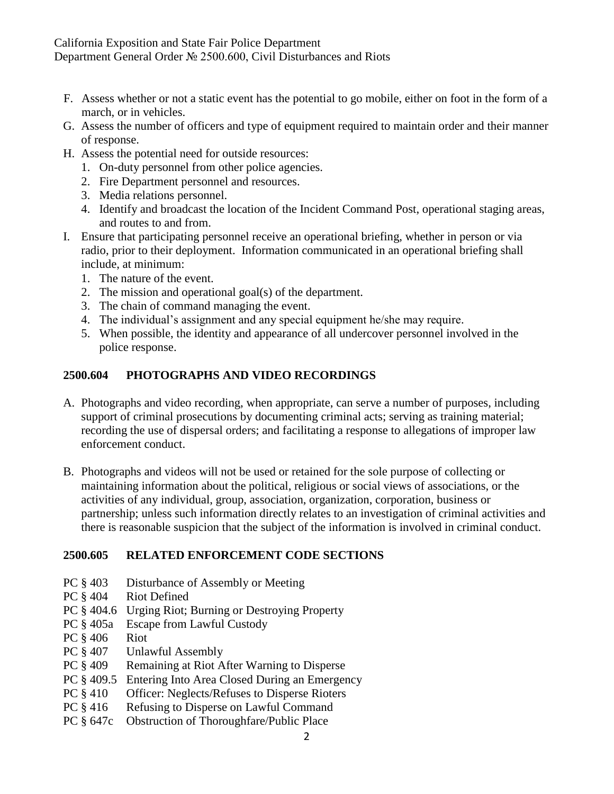- F. Assess whether or not a static event has the potential to go mobile, either on foot in the form of a march, or in vehicles.
- G. Assess the number of officers and type of equipment required to maintain order and their manner of response.
- H. Assess the potential need for outside resources:
	- 1. On-duty personnel from other police agencies.
	- 2. Fire Department personnel and resources.
	- 3. Media relations personnel.
	- 4. Identify and broadcast the location of the Incident Command Post, operational staging areas, and routes to and from.
- I. Ensure that participating personnel receive an operational briefing, whether in person or via radio, prior to their deployment. Information communicated in an operational briefing shall include, at minimum:
	- 1. The nature of the event.
	- 2. The mission and operational goal(s) of the department.
	- 3. The chain of command managing the event.
	- 4. The individual's assignment and any special equipment he/she may require.
	- 5. When possible, the identity and appearance of all undercover personnel involved in the police response.

## **2500.604 PHOTOGRAPHS AND VIDEO RECORDINGS**

- A. Photographs and video recording, when appropriate, can serve a number of purposes, including support of criminal prosecutions by documenting criminal acts; serving as training material; recording the use of dispersal orders; and facilitating a response to allegations of improper law enforcement conduct.
- B. Photographs and videos will not be used or retained for the sole purpose of collecting or maintaining information about the political, religious or social views of associations, or the activities of any individual, group, association, organization, corporation, business or partnership; unless such information directly relates to an investigation of criminal activities and there is reasonable suspicion that the subject of the information is involved in criminal conduct.

### **2500.605 RELATED ENFORCEMENT CODE SECTIONS**

- PC  $\S$  403 Disturbance of Assembly or Meeting
- PC  $§$  404 Riot Defined
- PC § 404.6 Urging Riot; Burning or Destroying Property
- PC § 405a Escape from Lawful Custody
- PC § 406 Riot
- PC § 407 Unlawful Assembly
- PC § 409 Remaining at Riot After Warning to Disperse
- PC § 409.5 Entering Into Area Closed During an Emergency
- PC § 410 Officer: Neglects/Refuses to Disperse Rioters
- PC  $§$  416 Refusing to Disperse on Lawful Command
- PC § 647c Obstruction of Thoroughfare/Public Place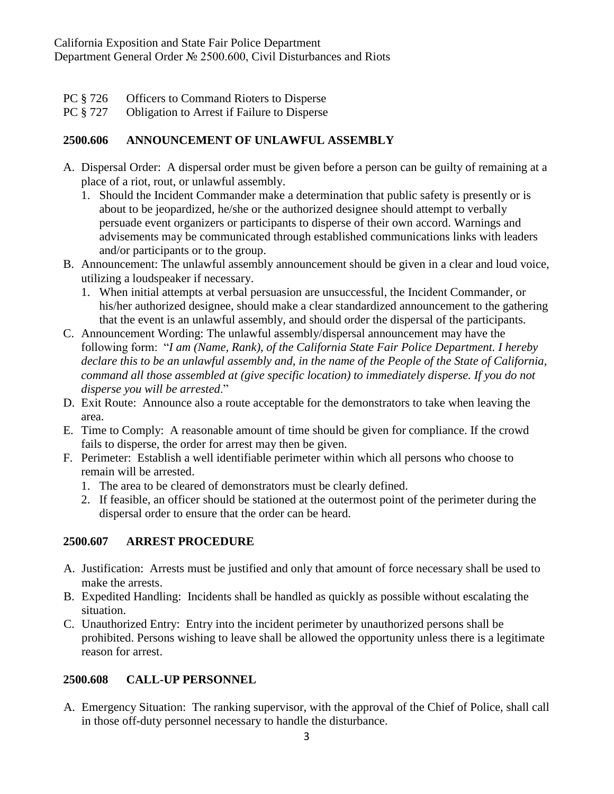- PC § 726 Officers to Command Rioters to Disperse
- PC § 727 Obligation to Arrest if Failure to Disperse

## **2500.606 ANNOUNCEMENT OF UNLAWFUL ASSEMBLY**

- A. Dispersal Order: A dispersal order must be given before a person can be guilty of remaining at a place of a riot, rout, or unlawful assembly.
	- 1. Should the Incident Commander make a determination that public safety is presently or is about to be jeopardized, he/she or the authorized designee should attempt to verbally persuade event organizers or participants to disperse of their own accord. Warnings and advisements may be communicated through established communications links with leaders and/or participants or to the group.
- B. Announcement: The unlawful assembly announcement should be given in a clear and loud voice, utilizing a loudspeaker if necessary.
	- 1. When initial attempts at verbal persuasion are unsuccessful, the Incident Commander, or his/her authorized designee, should make a clear standardized announcement to the gathering that the event is an unlawful assembly, and should order the dispersal of the participants.
- C. Announcement Wording: The unlawful assembly/dispersal announcement may have the following form: "*I am (Name, Rank), of the California State Fair Police Department. I hereby declare this to be an unlawful assembly and, in the name of the People of the State of California, command all those assembled at (give specific location) to immediately disperse. If you do not disperse you will be arrested*."
- D. Exit Route: Announce also a route acceptable for the demonstrators to take when leaving the area.
- E. Time to Comply: A reasonable amount of time should be given for compliance. If the crowd fails to disperse, the order for arrest may then be given.
- F. Perimeter: Establish a well identifiable perimeter within which all persons who choose to remain will be arrested.
	- 1. The area to be cleared of demonstrators must be clearly defined.
	- 2. If feasible, an officer should be stationed at the outermost point of the perimeter during the dispersal order to ensure that the order can be heard.

# **2500.607 ARREST PROCEDURE**

- A. Justification: Arrests must be justified and only that amount of force necessary shall be used to make the arrests.
- B. Expedited Handling: Incidents shall be handled as quickly as possible without escalating the situation.
- C. Unauthorized Entry: Entry into the incident perimeter by unauthorized persons shall be prohibited. Persons wishing to leave shall be allowed the opportunity unless there is a legitimate reason for arrest.

# **2500.608 CALL-UP PERSONNEL**

A. Emergency Situation: The ranking supervisor, with the approval of the Chief of Police, shall call in those off-duty personnel necessary to handle the disturbance.